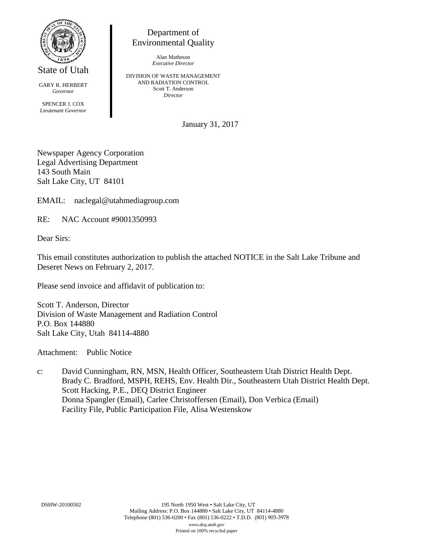

State of Utah

GARY R. HERBERT *Governor* SPENCER J. COX *Lieutenant Governor*

Department of Environmental Quality

> Alan Matheson *Executive Director*

DIVISION OF WASTE MANAGEMENT AND RADIATION CONTROL Scott T. Anderson *Director*

January 31, 2017

Newspaper Agency Corporation Legal Advertising Department 143 South Main Salt Lake City, UT 84101

EMAIL: naclegal@utahmediagroup.com

RE: NAC Account #9001350993

Dear Sirs:

This email constitutes authorization to publish the attached NOTICE in the Salt Lake Tribune and Deseret News on February 2, 2017.

Please send invoice and affidavit of publication to:

Scott T. Anderson, Director Division of Waste Management and Radiation Control P.O. Box 144880 Salt Lake City, Utah 84114-4880

Attachment: Public Notice

c: David Cunningham, RN, MSN, Health Officer, Southeastern Utah District Health Dept. Brady C. Bradford, MSPH, REHS, Env. Health Dir., Southeastern Utah District Health Dept. Scott Hacking, P.E., DEQ District Engineer Donna Spangler (Email), Carlee Christoffersen (Email), Don Verbica (Email) Facility File, Public Participation File, Alisa Westenskow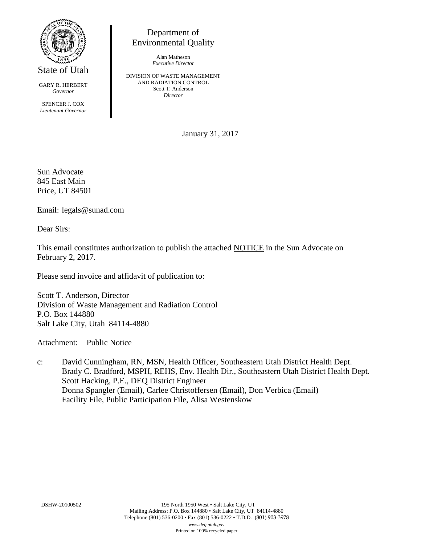

State of Utah

GARY R. HERBERT *Governor*

SPENCER J. COX *Lieutenant Governor*

Department of Environmental Quality

> Alan Matheson *Executive Director*

DIVISION OF WASTE MANAGEMENT AND RADIATION CONTROL Scott T. Anderson *Director*

January 31, 2017

Sun Advocate 845 East Main Price, UT 84501

Email: legals@sunad.com

Dear Sirs:

This email constitutes authorization to publish the attached NOTICE in the Sun Advocate on February 2, 2017.

Please send invoice and affidavit of publication to:

Scott T. Anderson, Director Division of Waste Management and Radiation Control P.O. Box 144880 Salt Lake City, Utah 84114-4880

Attachment: Public Notice

c: David Cunningham, RN, MSN, Health Officer, Southeastern Utah District Health Dept. Brady C. Bradford, MSPH, REHS, Env. Health Dir., Southeastern Utah District Health Dept. Scott Hacking, P.E., DEQ District Engineer Donna Spangler (Email), Carlee Christoffersen (Email), Don Verbica (Email) Facility File, Public Participation File, Alisa Westenskow